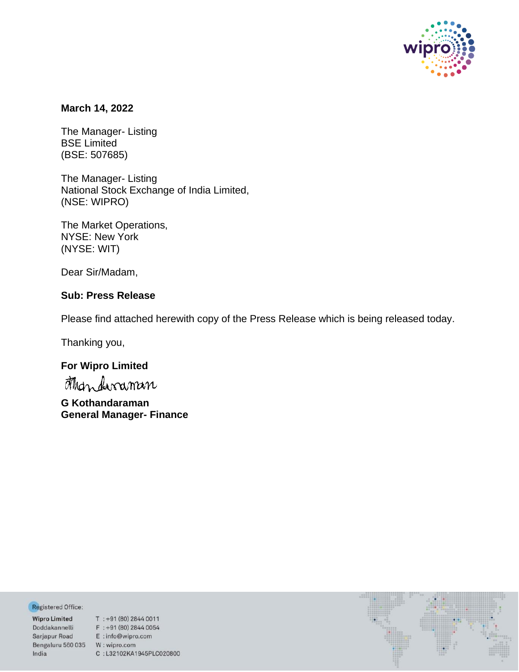

## **March 14, 2022**

The Manager- Listing BSE Limited (BSE: 507685)

The Manager- Listing National Stock Exchange of India Limited, (NSE: WIPRO)

The Market Operations, NYSE: New York (NYSE: WIT)

Dear Sir/Madam,

# **Sub: Press Release**

Please find attached herewith copy of the Press Release which is being released today.

Thanking you,

# **For Wipro Limited**

**G Kothandaraman General Manager- Finance**

Registered Office:

Bengaluru 560 035 W: wipro.com India

**Negistered Office:**<br> **Wipro Limited** T : +91 (80) 2844 0011<br>
Doddakannelli F : +91 (80) 2844 0054<br>
Sarjapur Road E : info@wipro.com C:L32102KA1945PLC020800

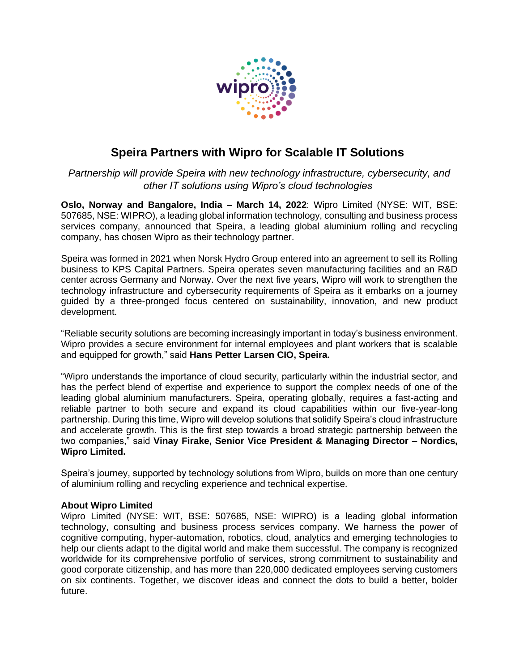

# **Speira Partners with Wipro for Scalable IT Solutions**

*Partnership will provide Speira with new technology infrastructure, cybersecurity, and other IT solutions using Wipro's cloud technologies*

**Oslo, Norway and Bangalore, India – March 14, 2022**: Wipro Limited (NYSE: WIT, BSE: 507685, NSE: WIPRO), a leading global information technology, consulting and business process services company, announced that Speira, a leading global aluminium rolling and recycling company, has chosen Wipro as their technology partner.

Speira was formed in 2021 when Norsk Hydro Group entered into an agreement to sell its Rolling business to KPS Capital Partners. Speira operates seven manufacturing facilities and an R&D center across Germany and Norway. Over the next five years, Wipro will work to strengthen the technology infrastructure and cybersecurity requirements of Speira as it embarks on a journey guided by a three-pronged focus centered on sustainability, innovation, and new product development.

"Reliable security solutions are becoming increasingly important in today's business environment. Wipro provides a secure environment for internal employees and plant workers that is scalable and equipped for growth," said **Hans Petter Larsen CIO, Speira.**

"Wipro understands the importance of cloud security, particularly within the industrial sector, and has the perfect blend of expertise and experience to support the complex needs of one of the leading global aluminium manufacturers. Speira, operating globally, requires a fast-acting and reliable partner to both secure and expand its cloud capabilities within our five-year-long partnership. During this time, Wipro will develop solutions that solidify Speira's cloud infrastructure and accelerate growth. This is the first step towards a broad strategic partnership between the two companies," said **Vinay Firake, Senior Vice President & Managing Director – Nordics, Wipro Limited.**

Speira's journey, supported by technology solutions from Wipro, builds on more than one century of aluminium rolling and recycling experience and technical expertise.

## **About Wipro Limited**

Wipro Limited (NYSE: WIT, BSE: 507685, NSE: WIPRO) is a leading global information technology, consulting and business process services company. We harness the power of cognitive computing, hyper-automation, robotics, cloud, analytics and emerging technologies to help our clients adapt to the digital world and make them successful. The company is recognized worldwide for its comprehensive portfolio of services, strong commitment to sustainability and good corporate citizenship, and has more than 220,000 dedicated employees serving customers on six continents. Together, we discover ideas and connect the dots to build a better, bolder future.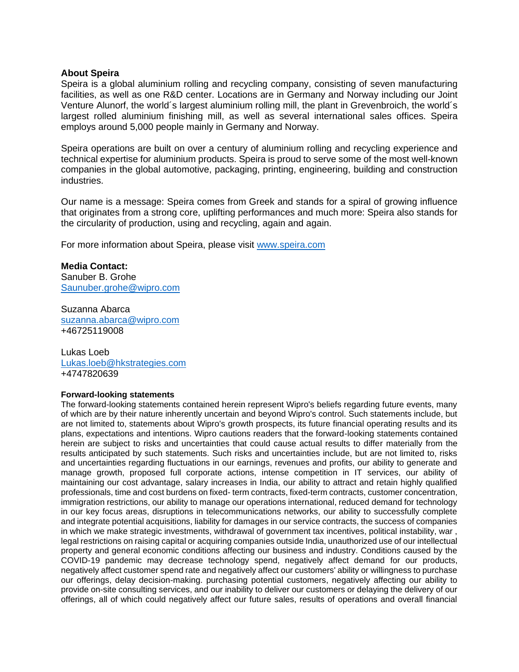### **About Speira**

Speira is a global aluminium rolling and recycling company, consisting of seven manufacturing facilities, as well as one R&D center. Locations are in Germany and Norway including our Joint Venture Alunorf, the world´s largest aluminium rolling mill, the plant in Grevenbroich, the world´s largest rolled aluminium finishing mill, as well as several international sales offices. Speira employs around 5,000 people mainly in Germany and Norway.

Speira operations are built on over a century of aluminium rolling and recycling experience and technical expertise for aluminium products. Speira is proud to serve some of the most well-known companies in the global automotive, packaging, printing, engineering, building and construction industries.

Our name is a message: Speira comes from Greek and stands for a spiral of growing influence that originates from a strong core, uplifting performances and much more: Speira also stands for the circularity of production, using and recycling, again and again.

For more information about Speira, please visit [www.speira.com](http://www.speira.com/)

**Media Contact:** Sanuber B. Grohe [Saunuber.grohe@wipro.com](mailto:Saunuber.grohe@wipro.com)

Suzanna Abarca [suzanna.abarca@wipro.com](mailto:suzanna.abarca@wipro.com) +46725119008

Lukas Loeb [Lukas.loeb@hkstrategies.com](mailto:Lukas.loeb@hkstrategies.com)  +4747820639

#### **Forward-looking statements**

The forward-looking statements contained herein represent Wipro's beliefs regarding future events, many of which are by their nature inherently uncertain and beyond Wipro's control. Such statements include, but are not limited to, statements about Wipro's growth prospects, its future financial operating results and its plans, expectations and intentions. Wipro cautions readers that the forward-looking statements contained herein are subject to risks and uncertainties that could cause actual results to differ materially from the results anticipated by such statements. Such risks and uncertainties include, but are not limited to, risks and uncertainties regarding fluctuations in our earnings, revenues and profits, our ability to generate and manage growth, proposed full corporate actions, intense competition in IT services, our ability of maintaining our cost advantage, salary increases in India, our ability to attract and retain highly qualified professionals, time and cost burdens on fixed- term contracts, fixed-term contracts, customer concentration, immigration restrictions, our ability to manage our operations international, reduced demand for technology in our key focus areas, disruptions in telecommunications networks, our ability to successfully complete and integrate potential acquisitions, liability for damages in our service contracts, the success of companies in which we make strategic investments, withdrawal of government tax incentives, political instability, war , legal restrictions on raising capital or acquiring companies outside India, unauthorized use of our intellectual property and general economic conditions affecting our business and industry. Conditions caused by the COVID-19 pandemic may decrease technology spend, negatively affect demand for our products, negatively affect customer spend rate and negatively affect our customers' ability or willingness to purchase our offerings, delay decision-making. purchasing potential customers, negatively affecting our ability to provide on-site consulting services, and our inability to deliver our customers or delaying the delivery of our offerings, all of which could negatively affect our future sales, results of operations and overall financial